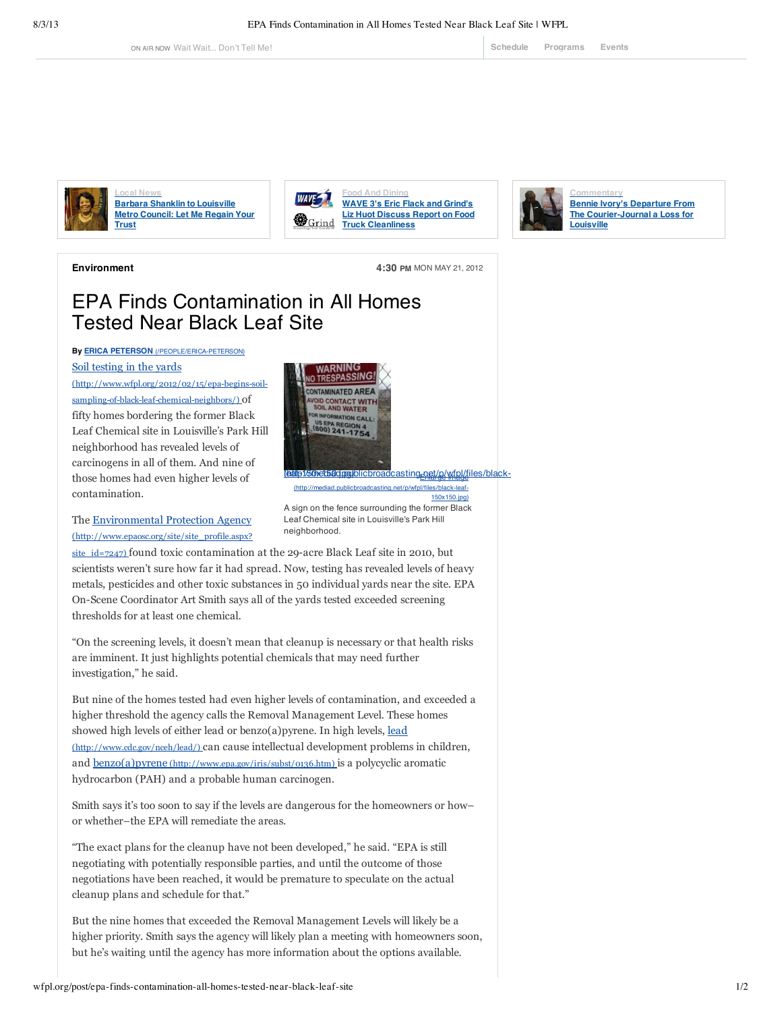

**Local News Barbara Shanklin to [Louisville](http://wfpl.org/post/barbara-shanklin-louisville-metro-council-let-me-regain-your-trust) Metro Council: Let Me Regain Your Trust**





**Commentary Bennie Ivory's Departure From The [Courier-Journal](http://wfpl.org/post/bennie-ivorys-departure-courier-journal-loss-louisville) a Loss for Louisville**

**Environment 4:30 PM** MON MAY 21, 2012

150x150.jpg)

## EPA Finds Contamination in All Homes Tested Near Black Leaf Site

**By ERICA PETERSON** [\(/PEOPLE/ERICA-PETERSON\)](http://wfpl.org/people/erica-peterson)

Soil testing in the yards  $(\text{http://www.wfpl.org/2012/02/15/epa-begins-soil-}$ sampling-of-black-leaf-chemical-neighbors/) of fifty homes bordering the former Black Leaf Chemical site in Louisville's Park Hill neighborhood has revealed levels of carcinogens in all of them. And nine of those homes had even higher levels of contamination.



The Environmental Protection Agency [\(http://www.epaosc.org/site/site\\_profile.aspx?](http://www.epaosc.org/site/site_profile.aspx?site_id=7247) A sign on the fence surrounding the former Black Leaf Chemical site in Louisville's Park Hill neighborhood.

site\_id=7247) found toxic contamination at the 29-acre Black Leaf site in 2010, but scientists weren't sure how far it had spread. Now, testing has revealed levels of heavy metals, pesticides and other toxic substances in 50 individual yards near the site. EPA On-Scene Coordinator Art Smith says all of the yards tested exceeded screening thresholds for at least one chemical.

"On the screening levels, it doesn't mean that cleanup is necessary or that health risks are imminent. It just highlights potential chemicals that may need further investigation," he said.

But nine of the homes tested had even higher levels of contamination, and exceeded a higher threshold the agency calls the Removal Management Level. These homes showed high levels of either lead or benzo(a)pyrene. In high levels, lead [\(http://www.cdc.gov/nceh/lead/\)](http://www.cdc.gov/nceh/lead/) can cause intellectual development problems in children, and benzo(a)pyrene [\(http://www.epa.gov/iris/subst/0136.htm\)](http://www.epa.gov/iris/subst/0136.htm) is a polycyclic aromatic hydrocarbon (PAH) and a probable human carcinogen.

Smith says it's too soon to say if the levels are dangerous for the homeowners or how– or whether–the EPA will remediate the areas.

"The exact plans for the cleanup have not been developed," he said. "EPA is still negotiating with potentially responsible parties, and until the outcome of those negotiations have been reached, it would be premature to speculate on the actual cleanup plans and schedule for that."

But the nine homes that exceeded the Removal Management Levels will likely be a higher priority. Smith says the agency will likely plan a meeting with homeowners soon, but he's waiting until the agency has more information about the options available.